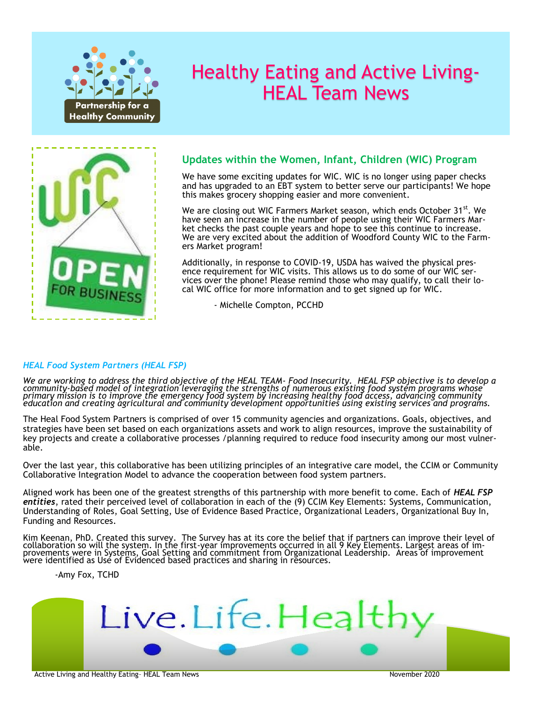

# Healthy Eating and Active Living-HEAL Team News



## **Updates within the Women, Infant, Children (WIC) Program**

We have some exciting updates for WIC. WIC is no longer using paper checks and has upgraded to an EBT system to better serve our participants! We hope this makes grocery shopping easier and more convenient.

We are closing out WIC Farmers Market season, which ends October 31<sup>st</sup>. We have seen an increase in the number of people using their WIC Farmers Market checks the past couple years and hope to see this continue to increase. We are very excited about the addition of Woodford County WIC to the Farmers Market program!

Additionally, in response to COVID-19, USDA has waived the physical presence requirement for WIC visits. This allows us to do some of our WIC services over the phone! Please remind those who may qualify, to call their local WIC office for more information and to get signed up for WIC.

- Michelle Compton, PCCHD

### *HEAL Food System Partners (HEAL FSP)*

*We are working to address the third objective of the HEAL TEAM- Food Insecurity. HEAL FSP objective is to develop a community-based model of integration leveraging the strengths of numerous existing food system programs whose primary mission is to improve the emergency food system by increasing healthy food access, advancing community education and creating agricultural and community development opportunities using existing services and programs.*

The Heal Food System Partners is comprised of over 15 community agencies and organizations. Goals, objectives, and strategies have been set based on each organizations assets and work to align resources, improve the sustainability of key projects and create a collaborative processes /planning required to reduce food insecurity among our most vulnerable.

Over the last year, this collaborative has been utilizing principles of an integrative care model, the CCIM or Community Collaborative Integration Model to advance the cooperation between food system partners.

Aligned work has been one of the greatest strengths of this partnership with more benefit to come. Each of *HEAL FSP entities*, rated their perceived level of collaboration in each of the (9) CCIM Key Elements: Systems, Communication, Understanding of Roles, Goal Setting, Use of Evidence Based Practice, Organizational Leaders, Organizational Buy In, Funding and Resources.

Kim Keenan, PhD. Created this survey. The Survey has at its core the belief that if partners can improve their level of collaboration so will the system. In the first-year improvements occurred in all 9 Key Elements. Largest areas of improvements were in Systems, Goal Setting and commitment from Organizational Leadership. Areas of improvement were identified as Use of Evidenced based practices and sharing in resources.

-Amy Fox, TCHD